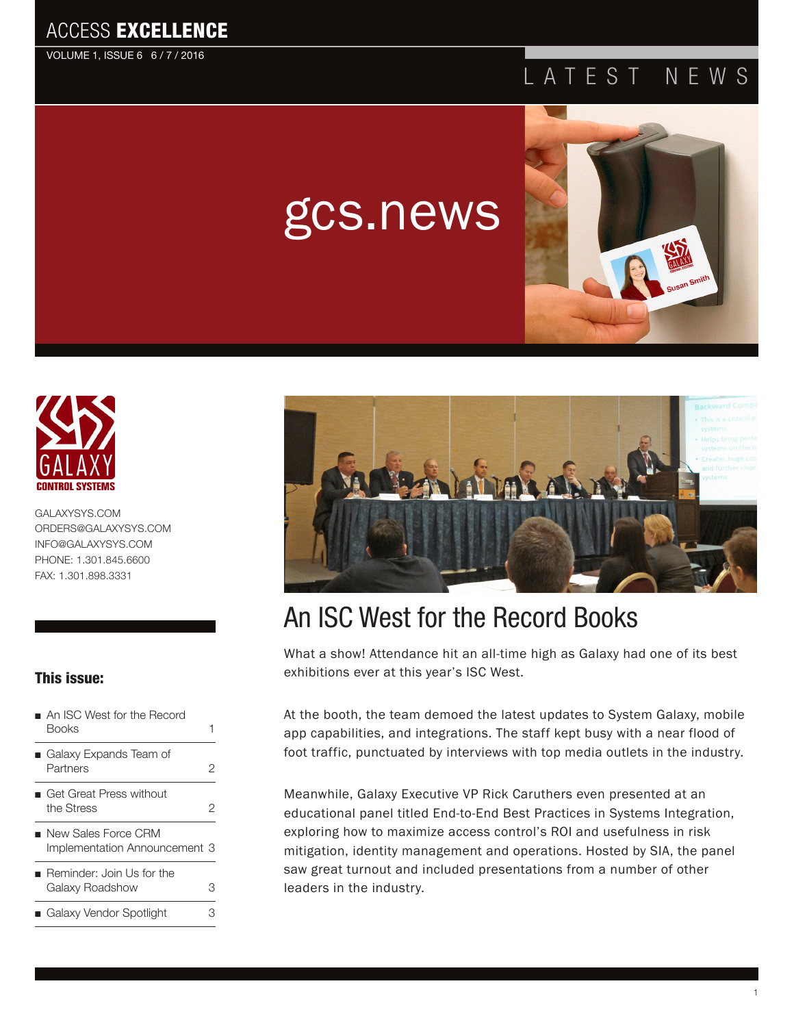#### ACCESS EXCELLENCE

VOLUME 1, ISSUE 6 6 / 7 / 2016

#### LATEST NEWS



[GALAXYSYS.COM](http://www.GALAXYSYS.COM) [ORDERS@GALAXYSYS.COM](mailto:ORDERS@GALAXYSYS.COM) [INFO@GALAXYSYS.COM](http://www.INFO@GALAXYSYS.COM) PHONE: 1.301.845.6600 FAX: 1.301.898.3331

#### This issue:

- An ISC West for the Record Books and the state of the state of the state of the state of the state of the state of the state of the state of the state of the state of the state of the state of the state of the state of the state of the state of the
- Galaxy Expands Team of Partners [2](#page-2-0) ■ Get Great Press without
- the Stress 2
- New Sales Force CRM Implementation Announcement 3
- Reminder: Join Us for the Galaxy Roadshow 3 ■ Galaxy Vendor Spotlight 3



## An ISC West for the Record Books

gcs.news

What a show! Attendance hit an all-time high as Galaxy had one of its best exhibitions ever at this year's ISC West.

At the booth, the team demoed the latest updates to System Galaxy, mobile app capabilities, and integrations. The staff kept busy with a near flood of foot traffic, punctuated by interviews with top media outlets in the industry.

Meanwhile, Galaxy Executive VP Rick Caruthers even presented at an educational panel titled End-to-End Best Practices in Systems Integration, exploring how to maximize access control's ROI and usefulness in risk mitigation, identity management and operations. Hosted by SIA, the panel saw great turnout and included presentations from a number of other leaders in the industry.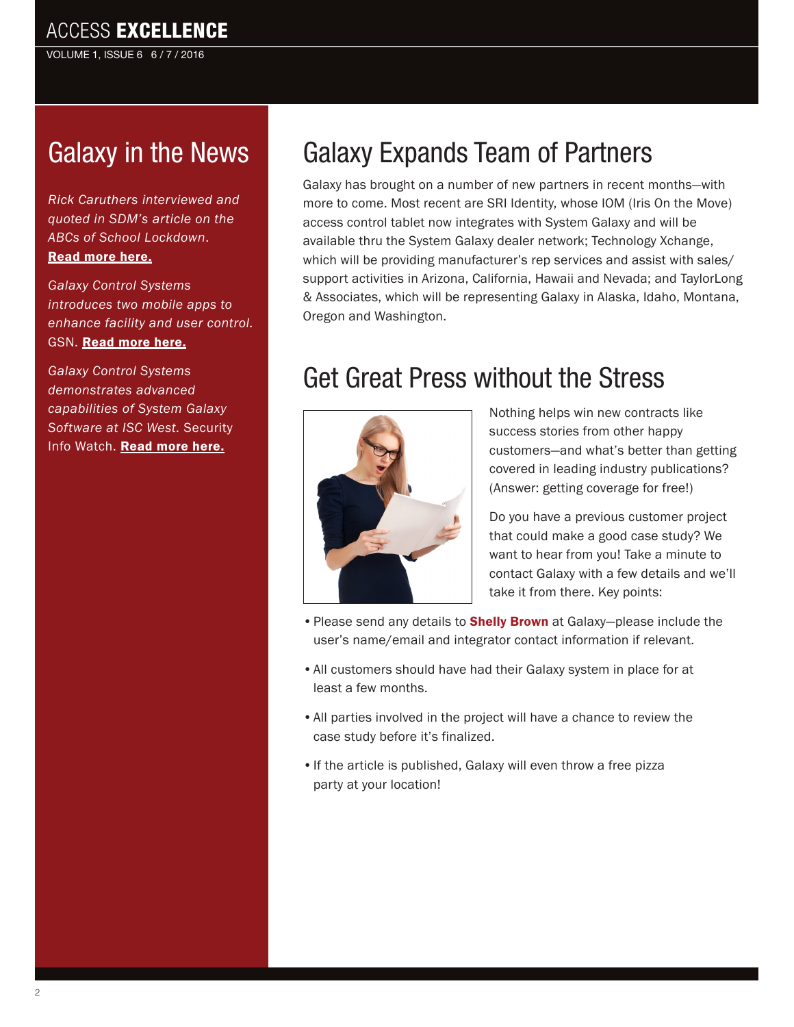VOLUME 1, ISSUE 6 6 / 7 / 2016

## [G](http://sourcesecurity.com/news/articles/co-2813-ga.15658.html)alaxy in the News

*Rick Caruthers interviewed and quoted in SDM's article on the ABCs of School Lockdown*. [Read more here.](http://www.sdmmag.com/articles/92010-the-abcs-of-school-lockdown)

*Galaxy Control Systems introduces two mobile apps to enhance facility and user control.*  GSN. [Read more here.](http://gsnmagazine.com/article/46139/galaxy_control_systems_introduces_two_mobile_apps)

*Galaxy Control Systems demonstrates advanced capabilities of System Galaxy Software at ISC West.* Security Info Watch. [Read more here.](http://www.securityinfowatch.com/press_release/12189932/galaxy-control-systems-demonstrates-advanced-capabilities-of-system-galaxy-software-at-isc-west)

# Galaxy Expands Team of Partners

Galaxy has brought on a number of new partners in recent months—with more to come. Most recent are SRI Identity, whose IOM (Iris On the Move) access control tablet now integrates with System Galaxy and will be available thru the System Galaxy dealer network; Technology Xchange, which will be providing manufacturer's rep services and assist with sales/ support activities in Arizona, California, Hawaii and Nevada; and TaylorLong & Associates, which will be representing Galaxy in Alaska, Idaho, Montana, Oregon and Washington.

## Get Great Press without the Stress



Nothing helps win new contracts like success stories from other happy customers—and what's better than getting covered in leading industry publications? (Answer: getting coverage for free!)

Do you have a previous customer project that could make a good case study? We want to hear from you! Take a minute to contact Galaxy with a few details and we'll take it from there. Key points:

- Please send any details to **[Shelly Brown](mailto:sbrown%40galaxysys.com?subject=)** at Galaxy-please include the user's name/email and integrator contact information if relevant.
- All customers should have had their Galaxy system in place for at least a few months.
- All parties involved in the project will have a chance to review the case study before it's finalized.
- If the article is published, Galaxy will even throw a free pizza party at your location!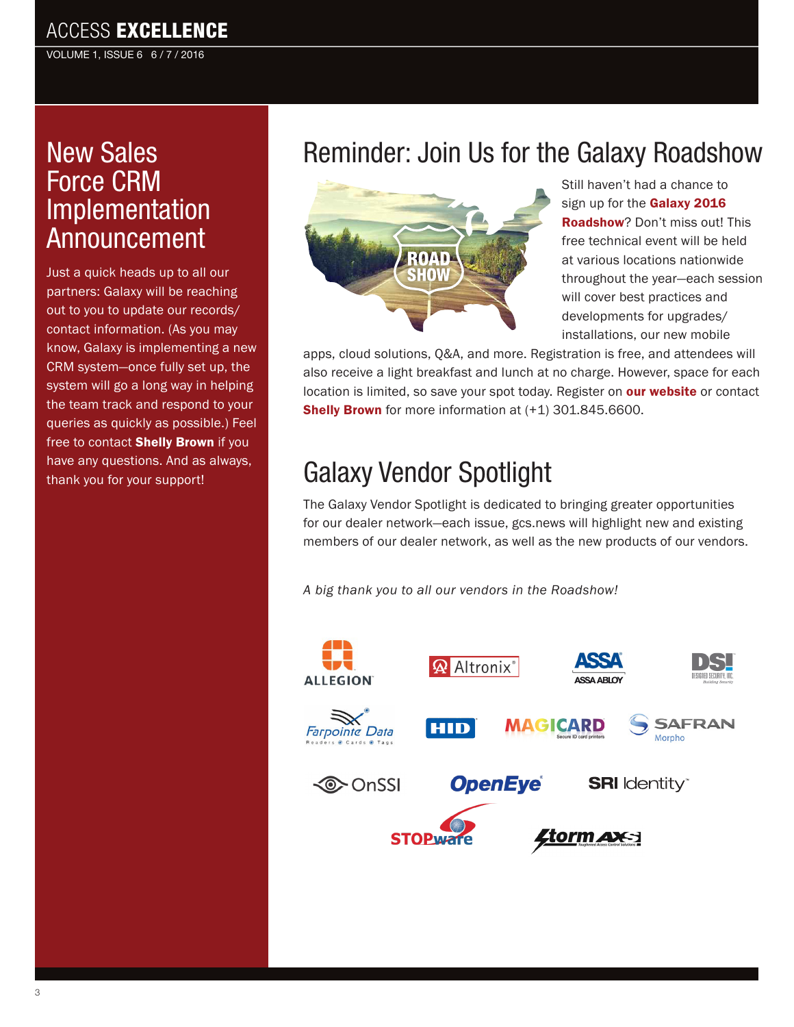#### <span id="page-2-0"></span>ACCESS EXCELLENCE

VOLUME 1, ISSUE 6 6 / 7 / 2016

## New Sales Force CRM Implementation Announcement

Just a quick heads up to all our partners: Galaxy will be reaching out to you to update our records/ contact information. (As you may know, Galaxy is implementing a new CRM system—once fully set up, the system will go a long way in helping the team track and respond to your queries as quickly as possible.) Feel free to contact [Shelly Brown](mailto:sbrown%40galaxysys.com?subject=Question%20about%20contact%20info%20for%20CRM%20system) if you have any questions. And as always, thank you for your support!

## Reminder: Join Us for the Galaxy Roadshow



Still haven't had a chance to sign up for the Galaxy 2016 [Roadshow](http://www.galaxysys.com/page-roadshow)? Don't miss out! This free technical event will be held at various locations nationwide throughout the year—each session will cover best practices and developments for upgrades/ installations, our new mobile

apps, cloud solutions, Q&A, and more. Registration is free, and attendees will also receive a light breakfast and lunch at no charge. However, space for each location is limited, so save your spot today. Register on [our website](http://www.galaxysys.com/page-roadshow) or contact **[Shelly Brown](mailto:sbrown%40galaxysys.com?subject=)** for more information at (+1) 301.845.6600.

## Galaxy Vendor Spotlight

The Galaxy Vendor Spotlight is dedicated to bringing greater opportunities for our dealer network—each issue, gcs.news will highlight new and existing members of our dealer network, as well as the new products of our vendors.

*A big thank you to all our vendors in the Roadshow!*